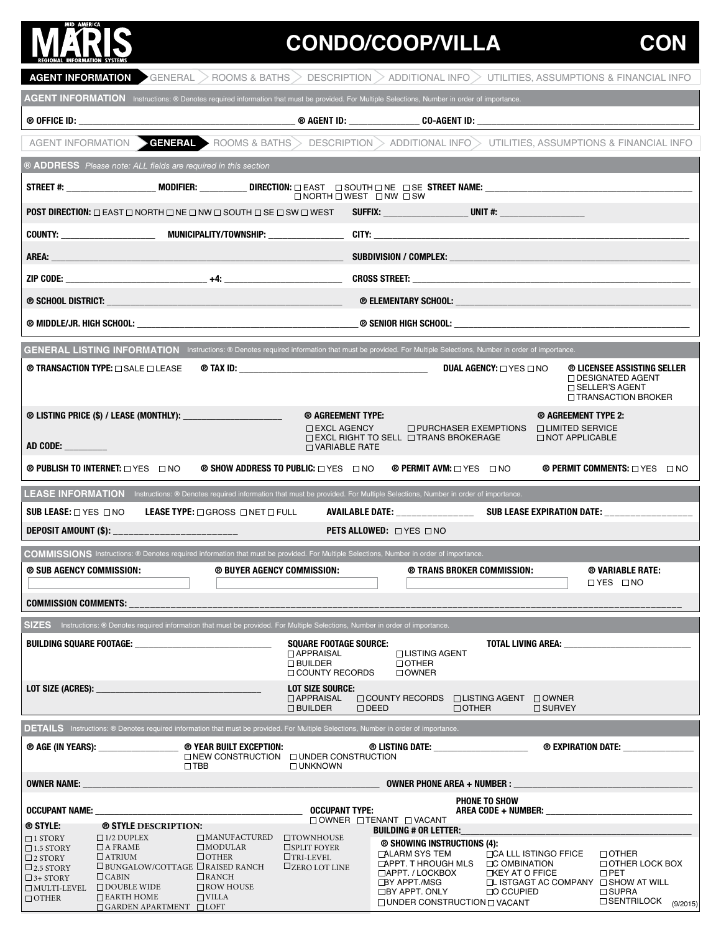## **MID AMERICA**

GARDEN APARTMENT

LOFT

## **CONDO/COOP/VILLA**

|                                                                                                                                                                                                                                                             | $\overline{\rm AGENT}$ information $\blacktriangleright$ general $>$ rooms & baths $>$ description $>$ additional info $>$ utilities, assumptions & financial info                                                            |  |  |  |  |  |
|-------------------------------------------------------------------------------------------------------------------------------------------------------------------------------------------------------------------------------------------------------------|-------------------------------------------------------------------------------------------------------------------------------------------------------------------------------------------------------------------------------|--|--|--|--|--|
| AGENT INFORMATION Instructions: ® Denotes required information that must be provided. For Multiple Selections, Number in order of importance.                                                                                                               |                                                                                                                                                                                                                               |  |  |  |  |  |
|                                                                                                                                                                                                                                                             |                                                                                                                                                                                                                               |  |  |  |  |  |
|                                                                                                                                                                                                                                                             | AGENT INFORMATION GENERAL ROOMS & BATHS DESCRIPTION ADDITIONAL INFO UTILITIES, ASSUMPTIONS & FINANCIAL INFO                                                                                                                   |  |  |  |  |  |
| ® ADDRESS Please note: ALL fields are required in this section                                                                                                                                                                                              |                                                                                                                                                                                                                               |  |  |  |  |  |
|                                                                                                                                                                                                                                                             | $\Box$ NORTH $\Box$ WEST $\Box$ NW $\Box$ SW                                                                                                                                                                                  |  |  |  |  |  |
| $\mathsf{POST}$ direction: $\Box$ east $\Box$ north $\Box$ ne $\Box$ nW $\Box$ south $\Box$ se $\Box$ sW $\Box$ west                                                                                                                                        | SUFFIX: _________________________________UNIT #: _______________________________                                                                                                                                              |  |  |  |  |  |
|                                                                                                                                                                                                                                                             |                                                                                                                                                                                                                               |  |  |  |  |  |
|                                                                                                                                                                                                                                                             |                                                                                                                                                                                                                               |  |  |  |  |  |
|                                                                                                                                                                                                                                                             |                                                                                                                                                                                                                               |  |  |  |  |  |
|                                                                                                                                                                                                                                                             |                                                                                                                                                                                                                               |  |  |  |  |  |
|                                                                                                                                                                                                                                                             |                                                                                                                                                                                                                               |  |  |  |  |  |
| GENERAL LISTING INFORMATION Instructions: ® Denotes required information that must be provided. For Multiple Selections, Number in order of importance.                                                                                                     |                                                                                                                                                                                                                               |  |  |  |  |  |
|                                                                                                                                                                                                                                                             | <b>DUAL AGENCY: O YES O NO</b><br>® LICENSEE ASSISTING SELLER                                                                                                                                                                 |  |  |  |  |  |
|                                                                                                                                                                                                                                                             | □ DESIGNATED AGENT<br>□ SELLER'S AGENT<br>□ TRANSACTION BROKER                                                                                                                                                                |  |  |  |  |  |
| ® LISTING PRICE (\$) / LEASE (MONTHLY): _____________________                                                                                                                                                                                               | ® AGREEMENT TYPE:<br>® AGREEMENT TYPE 2:                                                                                                                                                                                      |  |  |  |  |  |
| $\Box$ EXCL AGENCY                                                                                                                                                                                                                                          | $\Box$ PURCHASER EXEMPTIONS<br>□ LIMITED SERVICE<br>□ NOT APPLICABLE<br>$\Box$ EXCL RIGHT TO SELL $\Box$ TRANS BROKERAGE<br>$\Box$ VARIABLE RATE                                                                              |  |  |  |  |  |
| <b>® PUBLISH TO INTERNET:</b> O YES O NO<br><b>® SHOW ADDRESS TO PUBLIC:</b> □ YES □ NO                                                                                                                                                                     | <b>® PERMIT COMMENTS:</b> □ YES □ NO<br><b>® PERMIT AVM:</b> $\Box$ YES $\Box$ NO                                                                                                                                             |  |  |  |  |  |
| LEASE INFORMATION Instructions: ® Denotes required information that must be provided. For Multiple Selections, Number in order of importance.                                                                                                               |                                                                                                                                                                                                                               |  |  |  |  |  |
| SUB LEASE: $\square$ yes $\square$ no<br>LEASE TYPE: $\square$ gross $\square$ net $\square$ full                                                                                                                                                           |                                                                                                                                                                                                                               |  |  |  |  |  |
| DEPOSIT AMOUNT (\$): ________________________<br><b>PETS ALLOWED:</b> UYES UNO                                                                                                                                                                              |                                                                                                                                                                                                                               |  |  |  |  |  |
| COMMISSIONS Instructions: ® Denotes required information that must be provided. For Multiple Selections, Number in order of importance.                                                                                                                     |                                                                                                                                                                                                                               |  |  |  |  |  |
| ® SUB AGENCY COMMISSION:<br><b>© BUYER AGENCY COMMISSION:</b>                                                                                                                                                                                               | ® VARIABLE RATE:<br>® TRANS BROKER COMMISSION:<br>$\Box$ YES $\Box$ NO                                                                                                                                                        |  |  |  |  |  |
|                                                                                                                                                                                                                                                             |                                                                                                                                                                                                                               |  |  |  |  |  |
| SIZES Instructions: ® Denotes required information that must be provided. For Multiple Selections, Number in order of importance.                                                                                                                           |                                                                                                                                                                                                                               |  |  |  |  |  |
| BUILDING SQUARE FOOTAGE: _________________________________<br><b>SQUARE FOOTAGE SOURCE:</b>                                                                                                                                                                 | TOTAL LIVING AREA: University of the contract of the contract of the contract of the contract of the contract of the contract of the contract of the contract of the contract of the contract of the contract of the contract |  |  |  |  |  |
| <b>DAPPRAISAL</b><br>$\Box$ BUILDER<br>□ COUNTY RECORDS                                                                                                                                                                                                     | □ LISTING AGENT<br>$\Box$ OTHER<br>$\Box$ OWNER                                                                                                                                                                               |  |  |  |  |  |
| <b>LOT SIZE SOURCE:</b>                                                                                                                                                                                                                                     |                                                                                                                                                                                                                               |  |  |  |  |  |
| <b>DAPPRAISAL</b><br>$\Box$ BUILDER                                                                                                                                                                                                                         | □ COUNTY RECORDS □ LISTING AGENT □ OWNER<br>$\Box$ DEED<br>$\Box$ OTHER<br>$\Box$ SURVEY                                                                                                                                      |  |  |  |  |  |
| <b>DETAILS</b> Instructions: ® Denotes required information that must be provided. For Multiple Selections, Number in order of importance.                                                                                                                  |                                                                                                                                                                                                                               |  |  |  |  |  |
| ® YEAR BUILT EXCEPTION:<br>$\Box$ NEW CONSTRUCTION $\Box$ UNDER CONSTRUCTION<br>$\Box$ TBB<br>□ UNKNOWN                                                                                                                                                     | <b>@ LISTING DATE:</b> ____________________<br>® EXPIRATION DATE:                                                                                                                                                             |  |  |  |  |  |
| <b>OWNER NAME:</b>                                                                                                                                                                                                                                          | OWNER PHONE AREA + NUMBER :                                                                                                                                                                                                   |  |  |  |  |  |
| <b>OCCUPANT TYPE:</b><br><b>OCCUPANT NAME:</b> the contract of the contract of the contract of the contract of the contract of the contract of the contract of the contract of the contract of the contract of the contract of the contract of the contract | PHONE TO SHOW                                                                                                                                                                                                                 |  |  |  |  |  |
|                                                                                                                                                                                                                                                             |                                                                                                                                                                                                                               |  |  |  |  |  |
| ® STYLE:<br><b>® STYLE DESCRIPTION:</b>                                                                                                                                                                                                                     | $\Box$ OWNER $\Box$ TENANT $\Box$ VACANT<br><b>BUILDING # OR LETTER:</b>                                                                                                                                                      |  |  |  |  |  |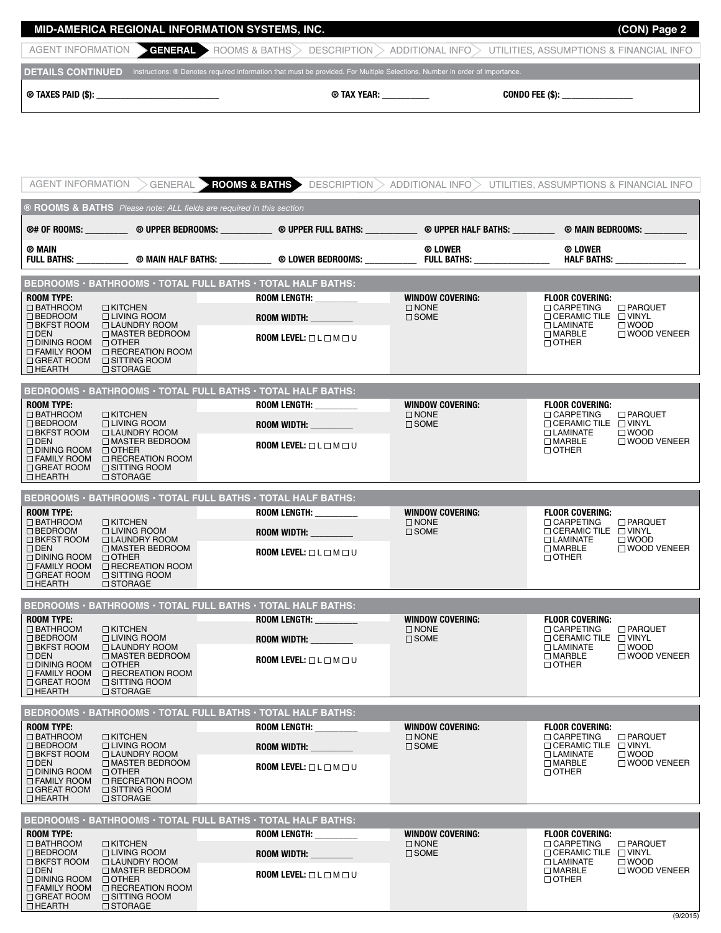| ® TAXES PAID (\$): | ® TAX YEAR:                                                                                                                                          | CONDO FEE (\$):                         |
|--------------------|------------------------------------------------------------------------------------------------------------------------------------------------------|-----------------------------------------|
|                    | <b>DETAILS CONTINUED</b> Instructions: ® Denotes required information that must be provided. For Multiple Selections, Number in order of importance. |                                         |
|                    | AGENT INFORMATION <b>CENERAL</b> ROOMS & BATHS DESCRIPTION<br>$>$ ADDITIONAL INFO $>$                                                                | UTILITIES, ASSUMPTIONS & FINANCIAL INFO |
|                    | MID-AMERICA REGIONAL INFORMATION SYSTEMS, INC.                                                                                                       | (CON) Page 2                            |

| AGENT INFORMATION                                                                                                                                                                           |                                                                                                                                                                         | GENERAL > ROOMS & BATHS >                                                                                                                                                                                                                                                                                  |                                                          | DESCRIPTION $>$ ADDITIONAL INFO $>$ UTILITIES. ASSUMPTIONS & FINANCIAL INFO                                                                                                             |
|---------------------------------------------------------------------------------------------------------------------------------------------------------------------------------------------|-------------------------------------------------------------------------------------------------------------------------------------------------------------------------|------------------------------------------------------------------------------------------------------------------------------------------------------------------------------------------------------------------------------------------------------------------------------------------------------------|----------------------------------------------------------|-----------------------------------------------------------------------------------------------------------------------------------------------------------------------------------------|
|                                                                                                                                                                                             | ® ROOMS & BATHS Please note: ALL fields are required in this section                                                                                                    |                                                                                                                                                                                                                                                                                                            |                                                          |                                                                                                                                                                                         |
| ® MAIN                                                                                                                                                                                      |                                                                                                                                                                         | @# OF ROOMS: _____________ @ UPPER BEDROOMS: _____________ @ UPPER FULL BATHS: _____________ @ MEIN BEDROOMS: _____________ @ MAIN BEDROOMS: __________                                                                                                                                                    | ® LOWER                                                  | ® LOWER                                                                                                                                                                                 |
|                                                                                                                                                                                             |                                                                                                                                                                         |                                                                                                                                                                                                                                                                                                            |                                                          | HALF BATHS: THE STATE OF THE STATE OF THE STATE OF THE STATE OF THE STATE OF THE STATE OF THE STATE OF THE STA                                                                          |
| <b>ROOM TYPE:</b><br>$\Box$ BATHROOM<br>$\Box$ BEDROOM<br>$\Box$ BKFST ROOM<br>$\Box$ DEN<br>$\Box$ DINING ROOM $\Box$ OTHER<br>$\Box$ FAMILY ROOM<br>$\Box$ GREAT ROOM<br>$\Box$ HEARTH    | $\Box$ KITCHEN<br>□ LIVING ROOM<br><b>LAUNDRY ROOM</b><br>□ MASTER BEDROOM<br>□ RECREATION ROOM<br>□ SITTING ROOM<br>□ STORAGE                                          | BEDROOMS · BATHROOMS · TOTAL FULL BATHS · TOTAL HALF BATHS:<br>ROOM LENGTH: _________<br>ROOM WIDTH: And the state of the state of the state of the state of the state of the state of the state of the<br>ROOM LEVEL: $\square$ L $\square$ M $\square$ U                                                 | <b>WINDOW COVERING:</b><br>$\Box$ NONE<br>$\Box$ SOME    | <b>FLOOR COVERING:</b><br>$\Box$ CARPETING<br>□ PARQUET<br>$\Box$ CERAMIC TILE $\Box$ VINYL<br>$\Box$ LAMINATE<br>$\square$ WOOD<br>$\Box$ MARBLE<br>□ WOOD VENEER<br>$\Box$ OTHER      |
| <b>ROOM TYPE:</b><br>$\Box$ BATHROOM                                                                                                                                                        | $\Box$ KITCHEN                                                                                                                                                          | BEDROOMS · BATHROOMS · TOTAL FULL BATHS · TOTAL HALF BATHS:<br>ROOM LENGTH: _________                                                                                                                                                                                                                      | <b>WINDOW COVERING:</b><br>$\square$ NONE                | <b>FLOOR COVERING:</b><br>$\Box$ CARPETING<br>□ PARQUET                                                                                                                                 |
| $\square$ BEDROOM<br>$\Box$ BKFST ROOM<br>$\Box$ DEN<br>$\Box$ DINING ROOM $\Box$ OTHER<br>$\Box$ FAMILY ROOM<br>$\Box$ HEARTH                                                              | $\Box$ LIVING ROOM<br>□ LAUNDRY ROOM<br>□ MASTER BEDROOM<br>$\Box$ RECREATION ROOM<br>$\Box$ GREAT ROOM $\Box$ SITTING ROOM<br>$\Box$ STORAGE                           | ROOM WIDTH: And the state of the state of the state of the state of the state of the state of the state of the<br><b>ROOM LEVEL:</b> $\Box$ L $\Box$ M $\Box$ U                                                                                                                                            | $\square$ SOME                                           | $\Box$ CERAMIC TILE $\Box$ VINYL<br>$\Box$ LAMINATE<br>$\square$ WOOD<br>□ WOOD VENEER<br>$\Box$ MARBLE<br>$\Box$ OTHER                                                                 |
| <b>ROOM TYPE:</b>                                                                                                                                                                           |                                                                                                                                                                         | BEDROOMS · BATHROOMS · TOTAL FULL BATHS · TOTAL HALF BATHS:                                                                                                                                                                                                                                                | <b>WINDOW COVERING:</b>                                  | <b>FLOOR COVERING:</b>                                                                                                                                                                  |
| $\Box$ BATHROOM<br>$\square$ BEDROOM<br>□ BKFST ROOM<br>$\Box$ DEN<br>$\Box$ DINING ROOM $\Box$ OTHER<br>$\Box$ FAMILY ROOM<br>$\Box$ GREAT ROOM<br>$\Box$ HEARTH                           | $\Box$ KITCHEN<br>$\Box$ LIVING ROOM<br>□ LAUNDRY ROOM<br>□ MASTER BEDROOM<br>$\Box$ RECREATION ROOM<br>$\Box$ SITTING ROOM<br>$\Box$ STORAGE                           | ROOM LENGTH: _________<br>ROOM WIDTH:<br><b>ROOM LEVEL:</b> $\Box$ L $\Box$ M $\Box$ U                                                                                                                                                                                                                     | $\Box$ NONE<br>$\square$ SOME                            | $\Box$ CARPETING<br>□ PARQUET<br>$\Box$ CERAMIC TILE $\Box$ VINYL<br><b>LAMINATE</b><br>$\square$ WOOD<br>□ WOOD VENEER<br>$\Box$ MARBLE<br>$\Box$ OTHER                                |
|                                                                                                                                                                                             |                                                                                                                                                                         | BEDROOMS · BATHROOMS · TOTAL FULL BATHS · TOTAL HALF BATHS:                                                                                                                                                                                                                                                |                                                          |                                                                                                                                                                                         |
| <b>ROOM TYPE:</b><br>$\Box$ BATHROOM<br>$\square$ BEDROOM<br>$\Box$ BKFST ROOM<br>$\Box$ DEN<br>$\Box$ DINING ROOM $\Box$ OTHER<br>$\Box$ FAMILY ROOM<br>$\Box$ GREAT ROOM<br>$\Box$ HEARTH | $\Box$ KITCHEN<br>$\Box$ LIVING ROOM<br>□ LAUNDRY ROOM<br>□ MASTER BEDROOM<br>□ RECREATION ROOM<br>□ SITTING ROOM<br>$\Box$ STORAGE                                     | ROOM LENGTH: __________<br>ROOM WIDTH: And the state of the state of the state of the state of the state of the state of the state of the state of the state of the state of the state of the state of the state of the state of the state of the state o<br><b>ROOM LEVEL:</b> $\Box$ L $\Box$ M $\Box$ U | <b>WINDOW COVERING:</b><br>$\Box$ NONE<br>$\square$ SOME | <b>FLOOR COVERING:</b><br>$\Box$ CARPETING<br><b>D</b> PARQUET<br>□ CERAMIC TILE □ VINYL<br>$\Box$ LAMINATE<br>$\square$ WOOD<br>$\Box$ MARBLE<br>□ WOOD VENEER<br>$\Box$ OTHER         |
|                                                                                                                                                                                             |                                                                                                                                                                         | BEDROOMS · BATHROOMS · TOTAL FULL BATHS · TOTAL HALF BATHS:                                                                                                                                                                                                                                                |                                                          |                                                                                                                                                                                         |
| <b>ROOM TYPE:</b><br>$\Box$ BATHROOM<br>$\Box$ BEDROOM<br>$\Box$ BKFST ROOM<br>$\Box$ DEN<br>□ DINING ROOM<br>$\Box$ FAMILY ROOM<br>$\Box$ GREAT ROOM<br>$\Box$ HEARTH                      | $\Box$ KITCHEN<br>$\Box$ LIVING ROOM<br>□ LAUNDRY ROOM<br>$\Box$ MASTER BEDROOM<br>$\Box$ OTHER<br>□ RECREATION ROOM<br>$\Box$ SITTING ROOM<br>$\Box$ STORAGE           | <b>ROOM LENGTH:</b><br>ROOM WIDTH:<br><b>ROOM LEVEL:</b> $\square$ L $\square$ M $\square$ U                                                                                                                                                                                                               | <b>WINDOW COVERING:</b><br>$\Box$ NONE<br>$\square$ SOME | <b>FLOOR COVERING:</b><br>$\Box$ CARPETING<br>□ PARQUET<br>$\Box$ CERAMIC TILE $\Box$ VINYL<br>$\Box$ LAMINATE<br>$\square$ WOOD<br>$\Box$ MARBLE<br>$\Box$ WOOD VENEER<br>$\Box$ OTHER |
|                                                                                                                                                                                             |                                                                                                                                                                         | BEDROOMS · BATHROOMS · TOTAL FULL BATHS · TOTAL HALF BATHS:                                                                                                                                                                                                                                                |                                                          |                                                                                                                                                                                         |
| <b>ROOM TYPE:</b><br>$\Box$ BATHROOM<br>$\Box$ BEDROOM<br>$\Box$ BKFST ROOM<br>$\Box$ DEN<br>$\Box$ DINING ROOM<br>$\Box$ FAMILY ROOM<br>$\Box$ GREAT ROOM<br>$\Box$ HEARTH                 | $\Box$ KITCHEN<br>$\Box$ LIVING ROOM<br>$\Box$ LAUNDRY ROOM<br>$\Box$ MASTER BEDROOM<br>$\Box$ OTHER<br>$\Box$ RECREATION ROOM<br>$\Box$ SITTING ROOM<br>$\Box$ STORAGE | <b>ROOM LENGTH:</b><br>ROOM WIDTH:<br><b>ROOM LEVEL:</b> $\square$ L $\square$ M $\square$ U                                                                                                                                                                                                               | <b>WINDOW COVERING:</b><br>$\Box$ NONE<br>$\square$ SOME | <b>FLOOR COVERING:</b><br><b>CARPETING</b><br>□ PARQUET<br>$\Box$ CERAMIC TILE $\Box$ VINYL<br>$\Box$ LAMINATE<br>$\square$ WOOD<br>$\Box$ MARBLE<br>$\Box$ WOOD VENEER<br>$\Box$ OTHER |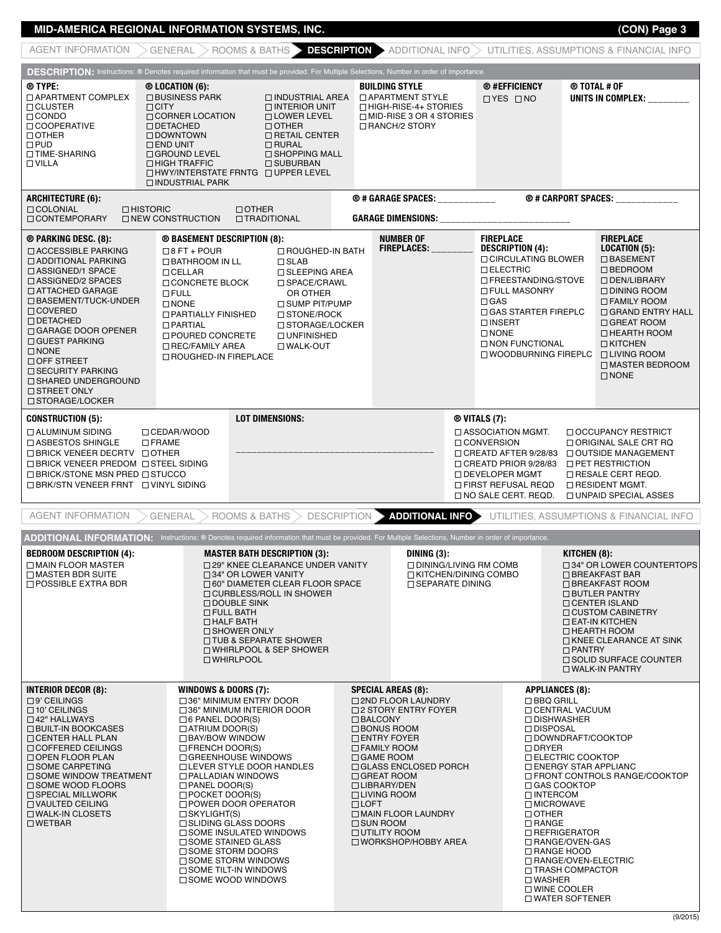## **MID-AMERICA REGIONAL INFORMATION SYSTEMS, INC. (CON) Page 3**

| <b>AGENT INFORMATION</b>                                                                                                                                                                                                                                                                                                                                                                                       |                                                                                                                                                                                                                                                                              | $GENERAL >$ ROOMS & BATHS $\geq$                                                                                                                                                                                                                                                                                                |             |                                                                                                                                                                                                                                                                                                                                                            |                                                                                      |                                                                                                                                                                                                                                                                                                                                                                            |                               | <b>DESCRIPTION &gt;</b> ADDITIONAL INFO > UTILITIES, ASSUMPTIONS & FINANCIAL INFO                                                                                                                                                                                                |
|----------------------------------------------------------------------------------------------------------------------------------------------------------------------------------------------------------------------------------------------------------------------------------------------------------------------------------------------------------------------------------------------------------------|------------------------------------------------------------------------------------------------------------------------------------------------------------------------------------------------------------------------------------------------------------------------------|---------------------------------------------------------------------------------------------------------------------------------------------------------------------------------------------------------------------------------------------------------------------------------------------------------------------------------|-------------|------------------------------------------------------------------------------------------------------------------------------------------------------------------------------------------------------------------------------------------------------------------------------------------------------------------------------------------------------------|--------------------------------------------------------------------------------------|----------------------------------------------------------------------------------------------------------------------------------------------------------------------------------------------------------------------------------------------------------------------------------------------------------------------------------------------------------------------------|-------------------------------|----------------------------------------------------------------------------------------------------------------------------------------------------------------------------------------------------------------------------------------------------------------------------------|
| <b>DESCRIPTION:</b> Instructions: ® Denotes required information that must be provided. For Multiple Selections, Number in order of importance.                                                                                                                                                                                                                                                                |                                                                                                                                                                                                                                                                              |                                                                                                                                                                                                                                                                                                                                 |             |                                                                                                                                                                                                                                                                                                                                                            |                                                                                      |                                                                                                                                                                                                                                                                                                                                                                            |                               |                                                                                                                                                                                                                                                                                  |
| ® TYPE:<br>□ APARTMENT COMPLEX<br>$\Box$ CLUSTER<br>$\Box$ CITY<br>$\Box$ CONDO<br>□ COOPERATIVE<br>$\Box$ OTHER<br>$\square$ PUD<br>□ TIME-SHARING<br>$\Box$ VILLA                                                                                                                                                                                                                                            | $@$ Location (6):<br>□ BUSINESS PARK<br>□ CORNER LOCATION<br>$\Box$ DETACHED<br>$\Box$ DOWNTOWN<br>$\square$ END UNIT<br>$\Box$ GROUND LEVEL<br>$\Box$ HIGH TRAFFIC<br>$\Box$ INDUSTRIAL PARK                                                                                | $\Box$ INTERIOR UNIT<br><b>LOWER LEVEL</b><br>$\Box$ OTHER<br><b>O RETAIL CENTER</b><br>$\Box$ RURAL<br>$\Box$ SHOPPING MALL<br>$\Box$ SUBURBAN<br>$\Box$ HWY/INTERSTATE FRNTG $\Box$ UPPER LEVEL                                                                                                                               |             | <b>BUILDING STYLE</b><br>$\Box$ INDUSTRIAL AREA $\Box$ APARTMENT STYLE<br>□ HIGH-RISE-4+ STORIES<br>□ MID-RISE 3 OR 4 STORIES<br>$\Box$ RANCH/2 STORY                                                                                                                                                                                                      |                                                                                      | <b>@#EFFICIENCY</b><br>$\Box$ YES $\Box$ NO                                                                                                                                                                                                                                                                                                                                |                               | ® TOTAL # OF<br>UNITS IN COMPLEX: _______                                                                                                                                                                                                                                        |
| <b>ARCHITECTURE (6):</b><br><b>COLONIAL</b><br>$\Box$ HISTORIC<br>□ CONTEMPORARY                                                                                                                                                                                                                                                                                                                               | □ NEW CONSTRUCTION                                                                                                                                                                                                                                                           | $\Box$ OTHER<br><b>TRADITIONAL</b>                                                                                                                                                                                                                                                                                              |             | <b>@#GARAGE SPACES:</b> ____________<br>GARAGE DIMENSIONS: ____________________________                                                                                                                                                                                                                                                                    |                                                                                      |                                                                                                                                                                                                                                                                                                                                                                            |                               | <b>@#CARPORT SPACES:</b> ___________                                                                                                                                                                                                                                             |
| ® PARKING DESC. (8):<br>$\Box$ ACCESSIBLE PARKING<br>$\Box$ ADDITIONAL PARKING<br>$\Box$ ASSIGNED/1 SPACE<br>$\Box$ ASSIGNED/2 SPACES<br>$\Box$ ATTACHED GARAGE<br>□ BASEMENT/TUCK-UNDER<br>$\Box$ COVERED<br><b>DETACHED</b><br>$\Box$ GARAGE DOOR OPENER<br>$\Box$ GUEST PARKING<br>$\Box$ NONE<br>□ OFF STREET<br>$\Box$ SECURITY PARKING<br>□ SHARED UNDERGROUND<br>$\Box$ STREET ONLY<br>□ STORAGE/LOCKER | <b>® BASEMENT DESCRIPTION (8):</b><br>$\Box$ 8 FT + POUR<br>$\Box$ BATHROOM IN LL<br>$\Box$ CELLAR<br>□ CONCRETE BLOCK<br>$\square$ FULL<br>$\Box$ NONE<br><b>D PARTIALLY FINISHED</b><br>$\Box$ PARTIAL<br>□ POURED CONCRETE<br>□ REC/FAMILY AREA<br>□ ROUGHED-IN FIREPLACE | □ ROUGHED-IN BATH<br>$\Box$ SLAB<br>$\Box$ SLEEPING AREA<br>□ SPACE/CRAWL<br>OR OTHER<br>□ SUMP PIT/PUMP<br>□ STONE/ROCK<br>□ STORAGE/LOCKER<br>$\Box$ UNFINISHED<br>□ WALK-OUT                                                                                                                                                 |             | <b>NUMBER OF</b><br>FIREPLACES:                                                                                                                                                                                                                                                                                                                            | <b>FIREPLACE</b><br>$\Box$ GAS<br>$\Box$ INSERT<br>$\Box$ NONE                       | DESCRIPTION (4):<br>□ CIRCULATING BLOWER<br><b>DELECTRIC</b><br>□ FREESTANDING/STOVE<br><b>ID FULL MASONRY</b><br>□ GAS STARTER FIREPLC<br>□ NON FUNCTIONAL<br>□ WOODBURNING FIREPLC                                                                                                                                                                                       |                               | <b>FIREPLACE</b><br>LOGATION (5):<br>□ BASEMENT<br>$\square$ BEDROOM<br>DEN/LIBRARY<br>$\Box$ DINING ROOM<br>$\Box$ FAMILY ROOM<br>□ GRAND ENTRY HALL<br>$\Box$ GREAT ROOM<br>□ HEARTH ROOM<br><b>DKITCHEN</b><br>□ LIVING ROOM<br>□ MASTER BEDROOM<br>$\Box$ NONE               |
| <b>LOT DIMENSIONS:</b><br><b>CONSTRUCTION (5):</b><br>□ ALUMINUM SIDING<br>□ CEDAR/WOOD<br>□ ASBESTOS SHINGLE<br>$\Box$ FRAME<br>$\Box$ BRICK VENEER DECRTV $\Box$ OTHER<br>$\Box$ BRICK VENEER PREDOM $\Box$ STEEL SIDING<br>$\Box$ BRICK/STONE MSN PRED $\Box$ STUCCO<br>□ BRK/STN VENEER FRNT □ VINYL SIDING                                                                                                |                                                                                                                                                                                                                                                                              |                                                                                                                                                                                                                                                                                                                                 |             |                                                                                                                                                                                                                                                                                                                                                            | $@$ VITALS (7):<br>$\Box$ ASSOCIATION MGMT.<br><b>CONVERSION</b><br>□ DEVELOPER MGMT | □ CREATD AFTER 9/28/83<br>□ CREATD PRIOR 9/28/83<br>□ FIRST REFUSAL REQD<br>$\Box$ NO SALE CERT. REQD.                                                                                                                                                                                                                                                                     |                               | □ OCCUPANCY RESTRICT<br>ORIGINAL SALE CRT RQ<br><b>OUTSIDE MANAGEMENT</b><br><b>O PET RESTRICTION</b><br>$\Box$ RESALE CERT REQD.<br><b>EXECUTE MONT.</b><br>□ UNPAID SPECIAL ASSES                                                                                              |
| <b>AGENT INFORMATION</b>                                                                                                                                                                                                                                                                                                                                                                                       | <b>GENERAL</b>                                                                                                                                                                                                                                                               | ROOMS & BATHS                                                                                                                                                                                                                                                                                                                   |             | <b>DESCRIPTION &gt; ADDITIONAL INFO</b>                                                                                                                                                                                                                                                                                                                    |                                                                                      |                                                                                                                                                                                                                                                                                                                                                                            |                               | UTILITIES, ASSUMPTIONS & FINANCIAL INFO                                                                                                                                                                                                                                          |
| ADDITIONAL INFORMATION: Instructions: ® Denotes required information that must be provided. For Multiple Selections, Number in order of importance.<br><b>BEDROOM DESCRIPTION (4):</b><br>MAIN FLOOR MASTER<br>□ MASTER BDR SUITE<br>$\Box$ POSSIBLE EXTRA BDR                                                                                                                                                 |                                                                                                                                                                                                                                                                              | <b>MASTER BATH DESCRIPTION (3):</b><br>29" KNEE CLEARANCE UNDER VANITY<br>$\Box$ 34" OR LOWER VANITY<br>□ 60" DIAMETER CLEAR FLOOR SPACE<br>□ CURBLESS/ROLL IN SHOWER<br>$\Box$ DOUBLE SINK<br>$\Box$ FULL BATH<br>□ HALF BATH<br>$\Box$ SHOWER ONLY<br>□ TUB & SEPARATE SHOWER<br>□ WHIRLPOOL & SEP SHOWER<br>$\Box$ WHIRLPOOL |             | DINING (3):<br>$\Box$ SEPARATE DINING                                                                                                                                                                                                                                                                                                                      | □ DINING/LIVING RM COMB<br>□ KITCHEN/DINING COMBO                                    |                                                                                                                                                                                                                                                                                                                                                                            | KITCHEN (8):<br>$\Box$ PANTRY | □ 34" OR LOWER COUNTERTOPS<br>$\Box$ BREAKFAST BAR<br>□ BREAKFAST ROOM<br>□ BUTLER PANTRY<br>□ CENTER ISLAND<br>□ CUSTOM CABINETRY<br><b>DEAT-IN KITCHEN</b><br>$\Box$ HEARTH ROOM<br><b>OKNEE CLEARANCE AT SINK</b><br>$\Box$ SOLID SURFACE COUNTER<br>$\square$ WALK-IN PANTRY |
| <b>INTERIOR DECOR (8):</b><br>$\square$ 9' CEILINGS<br>$\Box$ 10' CEILINGS<br>□ 42" HALLWAYS<br>$\Box$ BUILT-IN BOOKCASES<br><b>CENTER HALL PLAN</b><br>$\Box$ COFFERED CEILINGS<br>□ OPEN FLOOR PLAN<br>□ SOME CARPETING<br>$\Box$ SOME WINDOW TREATMENT<br>$\Box$ SOME WOOD FLOORS<br>$\Box$ SPECIAL MILLWORK<br>□ VAULTED CEILING<br>□ WALK-IN CLOSETS<br>$\Box$ WETBAR                                     | <b>WINDOWS &amp; DOORS (7):</b><br>$\Box$ 6 PANEL DOOR(S)<br>$\Box$ ATRIUM DOOR(S)<br>□ BAY/BOW WINDOW<br>$\Box$ FRENCH DOOR(S)<br>□ PALLADIAN WINDOWS<br>$\Box$ PANEL DOOR(S)<br>$\Box$ POCKET DOOR(S)<br>$\Box$ SKYLIGHT(S)<br>□ SOME STORM DOORS                          | □ 36" MINIMUM ENTRY DOOR<br>□ 36" MINIMUM INTERIOR DOOR<br>□ GREENHOUSE WINDOWS<br>□ LEVER STYLE DOOR HANDLES<br>□ POWER DOOR OPERATOR<br>□ SLIDING GLASS DOORS<br>□ SOME INSULATED WINDOWS<br>□ SOME STAINED GLASS<br>□ SOME STORM WINDOWS<br>□ SOME TILT-IN WINDOWS<br>□ SOME WOOD WINDOWS                                    | $\Box$ LOFT | <b>SPECIAL AREAS (8):</b><br>□ 2ND FLOOR LAUNDRY<br>□ 2 STORY ENTRY FOYER<br>$\Box$ BALCONY<br>$\Box$ BONUS ROOM<br>□ ENTRY FOYER<br>□ FAMILY ROOM<br>$\Box$ GAME ROOM<br>□ GLASS ENCLOSED PORCH<br>$\Box$ GREAT ROOM<br>□ LIBRARY/DEN<br>□ LIVING ROOM<br><b>ID MAIN FLOOR LAUNDRY</b><br>$\Box$ SUN ROOM<br>$\Box$ UTILITY ROOM<br>□ WORKSHOP/HOBBY AREA |                                                                                      | <b>APPLIANCES (8):</b><br>$\Box$ BBQ GRILL<br><b>CENTRAL VACUUM</b><br>□ DISHWASHER<br>$\Box$ DISPOSAL<br>$\Box$ DRYER<br>□ ELECTRIC COOKTOP<br>$\Box$ GAS COOKTOP<br>□ INTERCOM<br>□ MICROWAVE<br>$\Box$ OTHER<br>$\Box$ RANGE<br>□ REFRIGERATOR<br>□ RANGE/OVEN-GAS<br>□ RANGE HOOD<br>□ TRASH COMPACTOR<br>$\square$ WASHER<br>□ WINE COOLER<br><b>U WATER SOFTENER</b> |                               | □ DOWNDRAFT/COOKTOP<br><b>DENERGY STAR APPLIANC</b><br>FRONT CONTROLS RANGE/COOKTOP<br>□ RANGE/OVEN-ELECTRIC                                                                                                                                                                     |